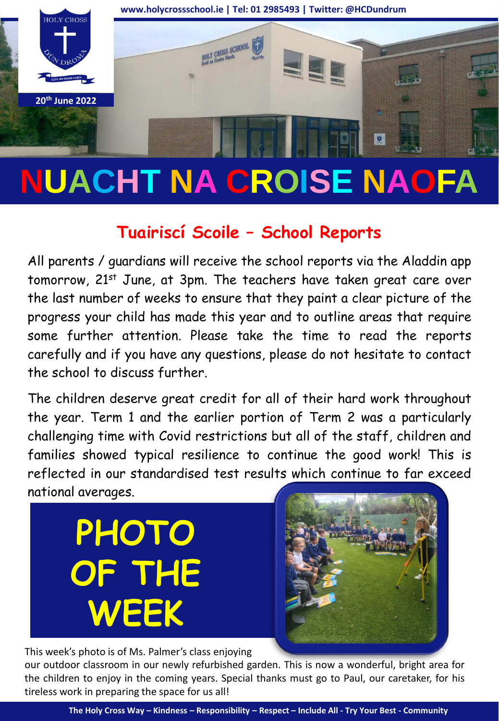

## **NUACHT NA CROISE NAOFA**

## **Tuairiscí Scoile – School Reports**

All parents / guardians will receive the school reports via the Aladdin app tomorrow, 21<sup>st</sup> June, at 3pm. The teachers have taken great care over the last number of weeks to ensure that they paint a clear picture of the progress your child has made this year and to outline areas that require some further attention. Please take the time to read the reports carefully and if you have any questions, please do not hesitate to contact the school to discuss further.

The children deserve great credit for all of their hard work throughout the year. Term 1 and the earlier portion of Term 2 was a particularly challenging time with Covid restrictions but all of the staff, children and families showed typical resilience to continue the good work! This is reflected in our standardised test results which continue to far exceed national averages.

**PHOTO OF THE WEEK**



This week's photo is of Ms. Palmer's class enjoying

our outdoor classroom in our newly refurbished garden. This is now a wonderful, bright area for the children to enjoy in the coming years. Special thanks must go to Paul, our caretaker, for his tireless work in preparing the space for us all!